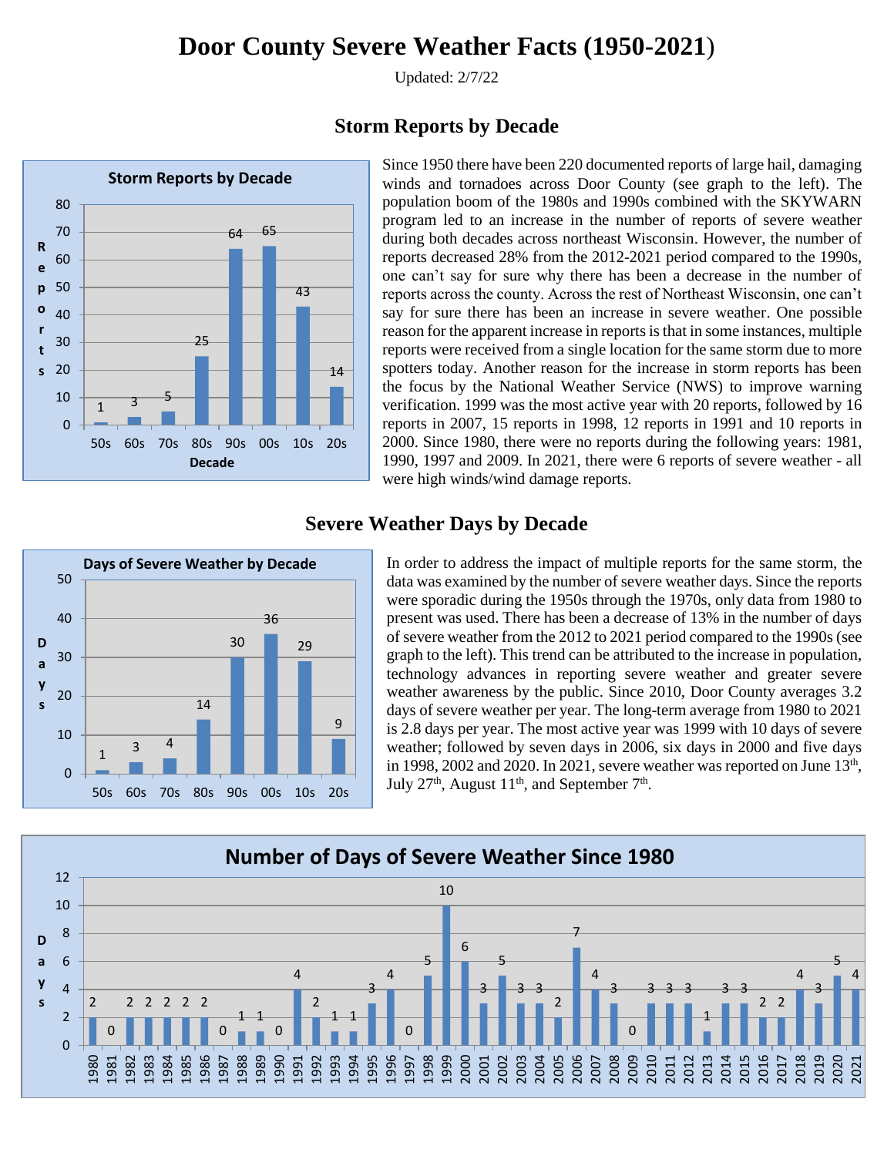Updated: 2/7/22



#### **Storm Reports by Decade**

Since 1950 there have been 220 documented reports of large hail, damaging winds and tornadoes across Door County (see graph to the left). The population boom of the 1980s and 1990s combined with the SKYWARN program led to an increase in the number of reports of severe weather during both decades across northeast Wisconsin. However, the number of reports decreased 28% from the 2012-2021 period compared to the 1990s, one can't say for sure why there has been a decrease in the number of reports across the county. Across the rest of Northeast Wisconsin, one can't say for sure there has been an increase in severe weather. One possible reason for the apparent increase in reports is that in some instances, multiple reports were received from a single location for the same storm due to more spotters today. Another reason for the increase in storm reports has been the focus by the National Weather Service (NWS) to improve warning verification. 1999 was the most active year with 20 reports, followed by 16 reports in 2007, 15 reports in 1998, 12 reports in 1991 and 10 reports in 2000. Since 1980, there were no reports during the following years: 1981, 1990, 1997 and 2009. In 2021, there were 6 reports of severe weather - all were high winds/wind damage reports.

#### **Severe Weather Days by Decade**



In order to address the impact of multiple reports for the same storm, the data was examined by the number of severe weather days. Since the reports were sporadic during the 1950s through the 1970s, only data from 1980 to present was used. There has been a decrease of 13% in the number of days of severe weather from the 2012 to 2021 period compared to the 1990s (see graph to the left). This trend can be attributed to the increase in population, technology advances in reporting severe weather and greater severe weather awareness by the public. Since 2010, Door County averages 3.2 days of severe weather per year. The long-term average from 1980 to 2021 is 2.8 days per year. The most active year was 1999 with 10 days of severe weather; followed by seven days in 2006, six days in 2000 and five days in 1998, 2002 and 2020. In 2021, severe weather was reported on June  $13<sup>th</sup>$ , July  $27<sup>th</sup>$ , August  $11<sup>th</sup>$ , and September  $7<sup>th</sup>$ .

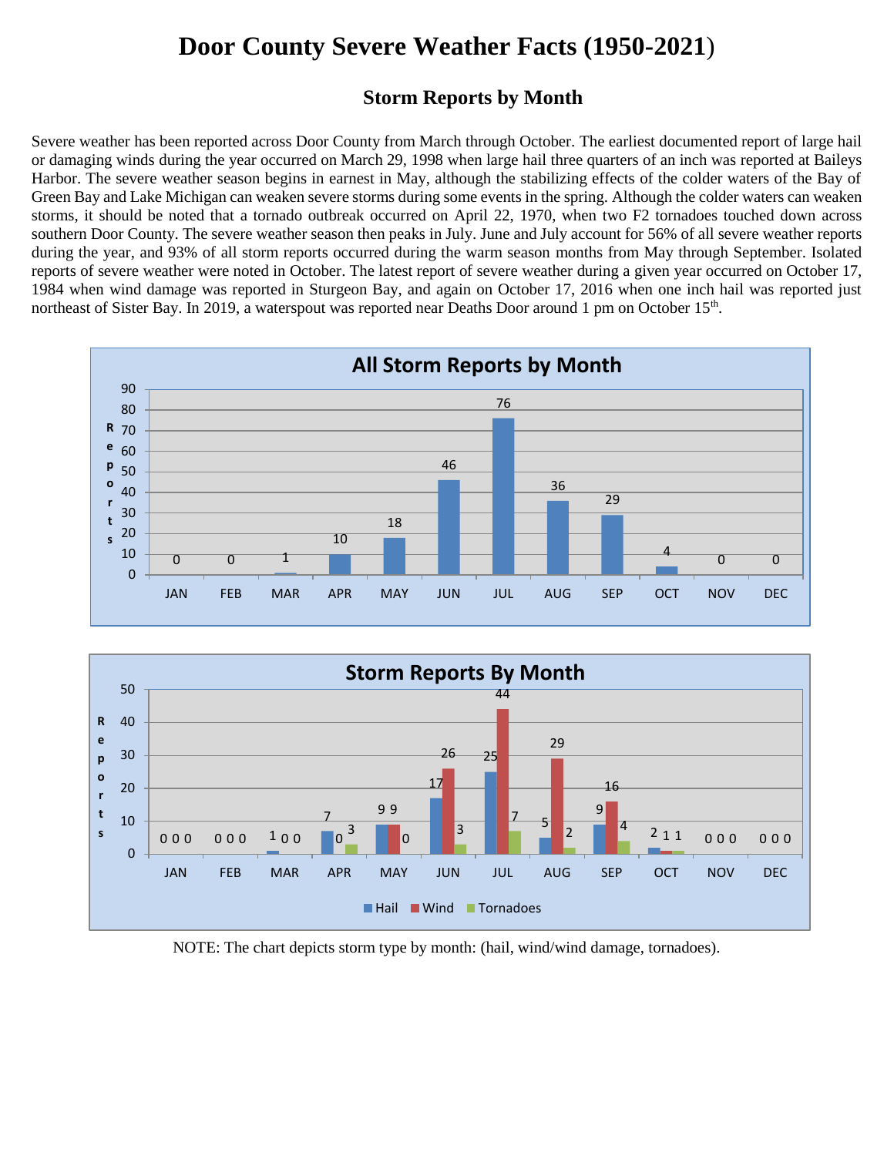#### **Storm Reports by Month**

Severe weather has been reported across Door County from March through October. The earliest documented report of large hail or damaging winds during the year occurred on March 29, 1998 when large hail three quarters of an inch was reported at Baileys Harbor. The severe weather season begins in earnest in May, although the stabilizing effects of the colder waters of the Bay of Green Bay and Lake Michigan can weaken severe storms during some events in the spring. Although the colder waters can weaken storms, it should be noted that a tornado outbreak occurred on April 22, 1970, when two F2 tornadoes touched down across southern Door County. The severe weather season then peaks in July. June and July account for 56% of all severe weather reports during the year, and 93% of all storm reports occurred during the warm season months from May through September. Isolated reports of severe weather were noted in October. The latest report of severe weather during a given year occurred on October 17, 1984 when wind damage was reported in Sturgeon Bay, and again on October 17, 2016 when one inch hail was reported just northeast of Sister Bay. In 2019, a waterspout was reported near Deaths Door around 1 pm on October 15<sup>th</sup>.





NOTE: The chart depicts storm type by month: (hail, wind/wind damage, tornadoes).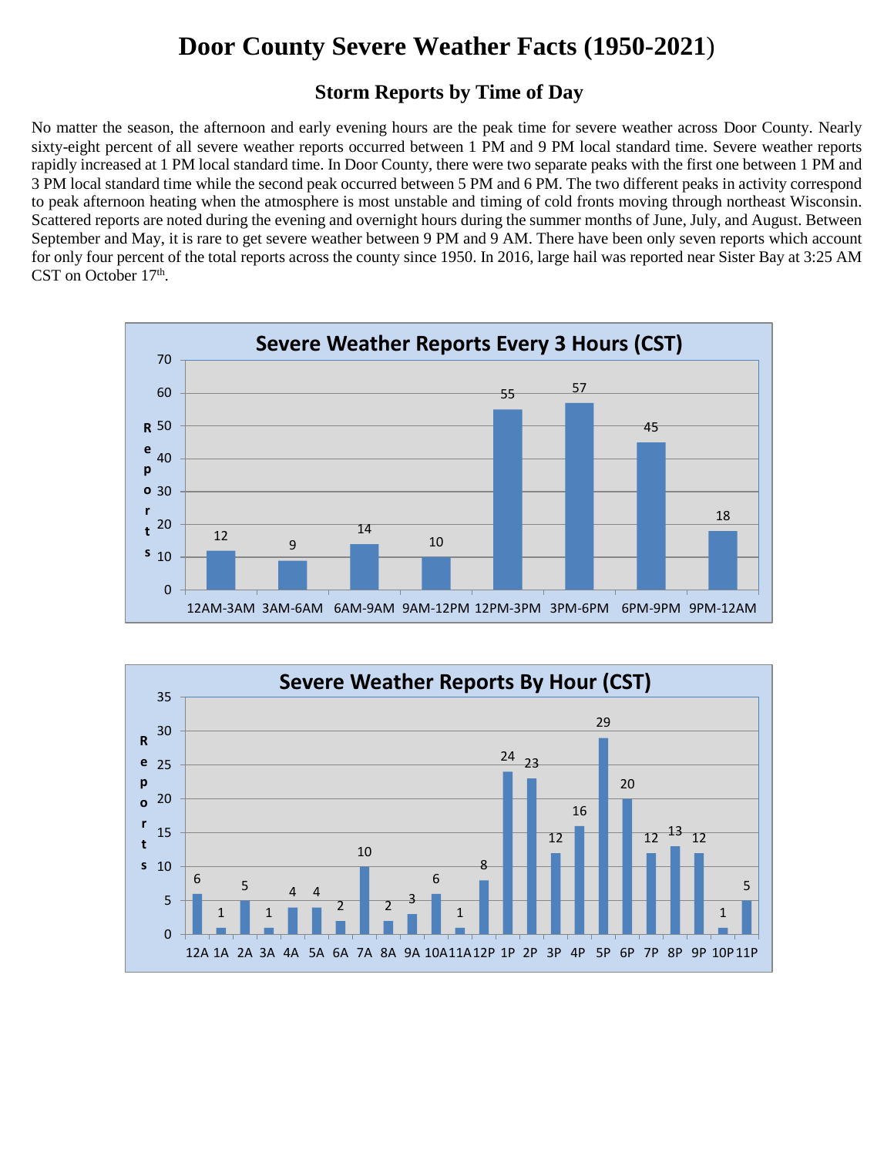#### **Storm Reports by Time of Day**

No matter the season, the afternoon and early evening hours are the peak time for severe weather across Door County. Nearly sixty-eight percent of all severe weather reports occurred between 1 PM and 9 PM local standard time. Severe weather reports rapidly increased at 1 PM local standard time. In Door County, there were two separate peaks with the first one between 1 PM and 3 PM local standard time while the second peak occurred between 5 PM and 6 PM. The two different peaks in activity correspond to peak afternoon heating when the atmosphere is most unstable and timing of cold fronts moving through northeast Wisconsin. Scattered reports are noted during the evening and overnight hours during the summer months of June, July, and August. Between September and May, it is rare to get severe weather between 9 PM and 9 AM. There have been only seven reports which account for only four percent of the total reports across the county since 1950. In 2016, large hail was reported near Sister Bay at 3:25 AM CST on October 17<sup>th</sup>.



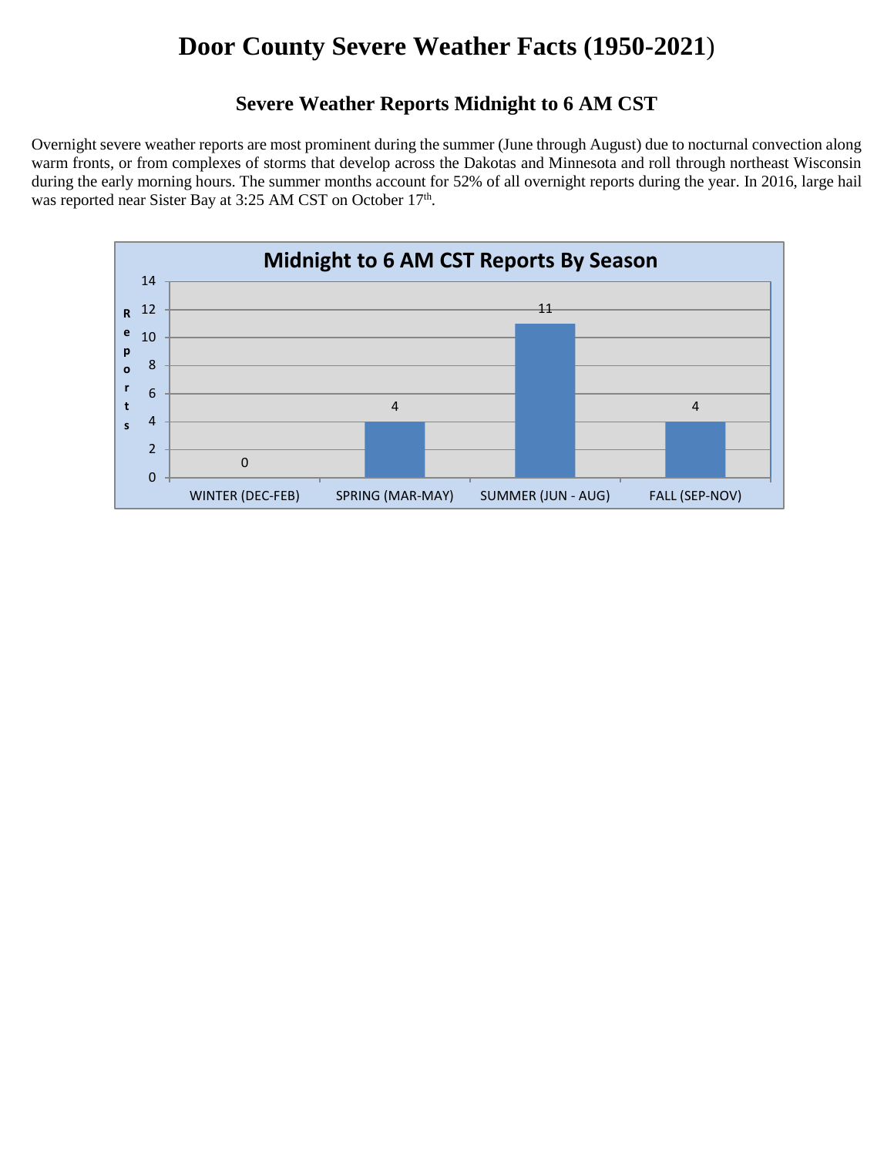#### **Severe Weather Reports Midnight to 6 AM CST**

Overnight severe weather reports are most prominent during the summer (June through August) due to nocturnal convection along warm fronts, or from complexes of storms that develop across the Dakotas and Minnesota and roll through northeast Wisconsin during the early morning hours. The summer months account for 52% of all overnight reports during the year. In 2016, large hail was reported near Sister Bay at 3:25 AM CST on October 17<sup>th</sup>.

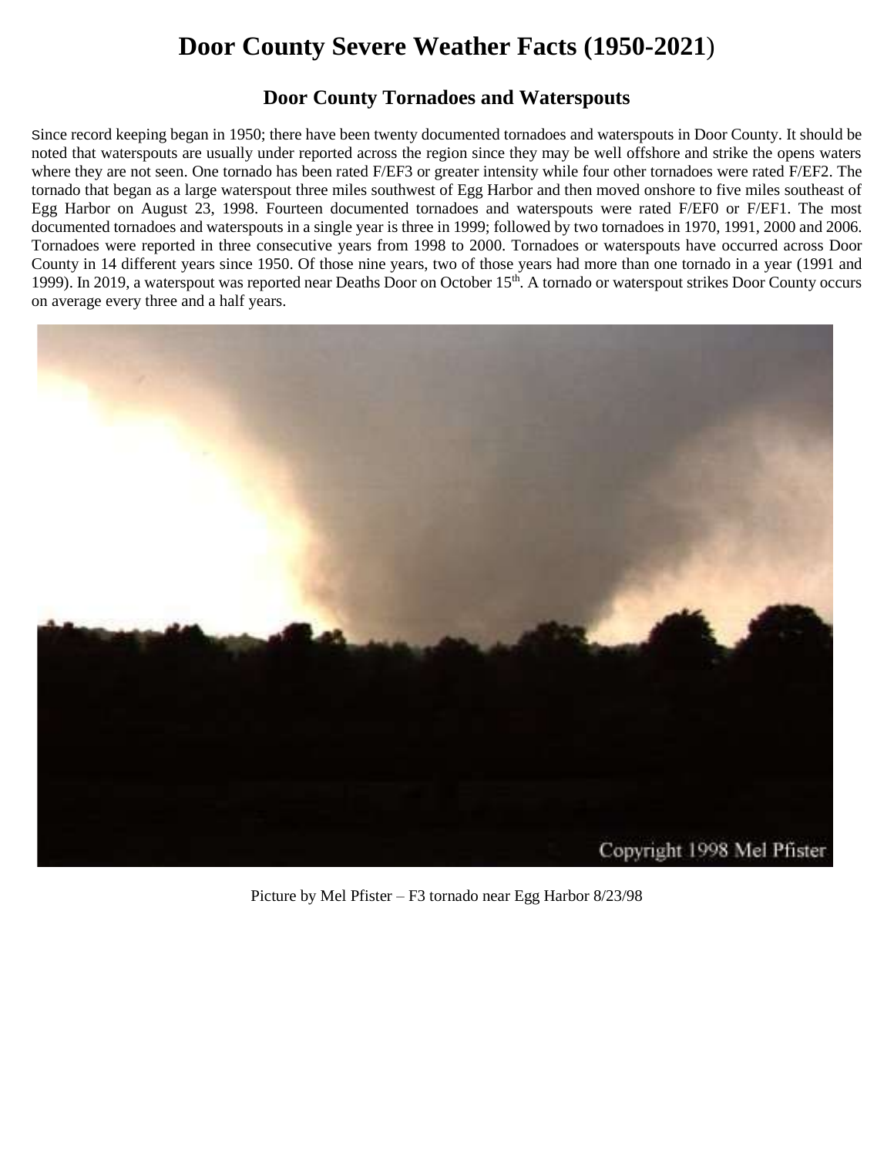#### **Door County Tornadoes and Waterspouts**

Since record keeping began in 1950; there have been twenty documented tornadoes and waterspouts in Door County. It should be noted that waterspouts are usually under reported across the region since they may be well offshore and strike the opens waters where they are not seen. One tornado has been rated F/EF3 or greater intensity while four other tornadoes were rated F/EF2. The tornado that began as a large waterspout three miles southwest of Egg Harbor and then moved onshore to five miles southeast of Egg Harbor on August 23, 1998. Fourteen documented tornadoes and waterspouts were rated F/EF0 or F/EF1. The most documented tornadoes and waterspouts in a single year is three in 1999; followed by two tornadoes in 1970, 1991, 2000 and 2006. Tornadoes were reported in three consecutive years from 1998 to 2000. Tornadoes or waterspouts have occurred across Door County in 14 different years since 1950. Of those nine years, two of those years had more than one tornado in a year (1991 and 1999). In 2019, a waterspout was reported near Deaths Door on October 15<sup>th</sup>. A tornado or waterspout strikes Door County occurs on average every three and a half years.



Picture by Mel Pfister – F3 tornado near Egg Harbor 8/23/98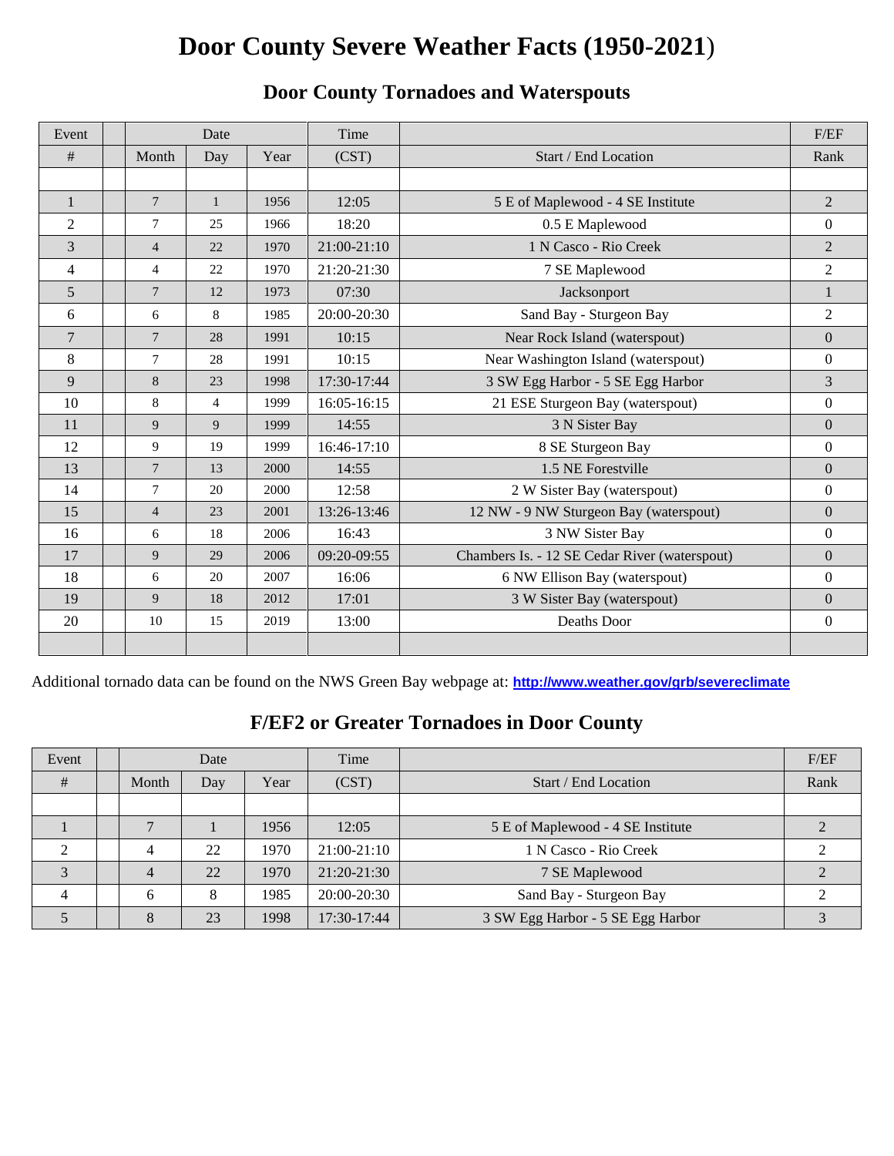| Event        | Date                 |                |       | Time                 |                                               | F/EF             |
|--------------|----------------------|----------------|-------|----------------------|-----------------------------------------------|------------------|
| #            | Month<br>Year<br>Day |                | (CST) | Start / End Location | Rank                                          |                  |
|              |                      |                |       |                      |                                               |                  |
| $\mathbf{1}$ | $\overline{7}$       | $\mathbf{1}$   | 1956  | 12:05                | 5 E of Maplewood - 4 SE Institute             | $\overline{2}$   |
| 2            | $\overline{7}$       | 25             | 1966  | 18:20                | 0.5 E Maplewood                               | $\boldsymbol{0}$ |
| 3            | $\overline{4}$       | 22             | 1970  | 21:00-21:10          | 1 N Casco - Rio Creek                         | $\overline{2}$   |
| 4            | $\overline{4}$       | 22             | 1970  | 21:20-21:30          | 7 SE Maplewood                                | $\overline{2}$   |
| 5            | $\overline{7}$       | 12             | 1973  | 07:30                | Jacksonport                                   | $\mathbf{1}$     |
| 6            | 6                    | 8              | 1985  | 20:00-20:30          | Sand Bay - Sturgeon Bay                       | $\overline{2}$   |
| 7            | $7\phantom{.0}$      | 28             | 1991  | 10:15                | Near Rock Island (waterspout)                 | $\mathbf{0}$     |
| 8            | $\tau$               | 28             | 1991  | 10:15                | Near Washington Island (waterspout)           | $\mathbf{0}$     |
| 9            | 8                    | 23             | 1998  | 17:30-17:44          | 3 SW Egg Harbor - 5 SE Egg Harbor             | $\overline{3}$   |
| 10           | 8                    | $\overline{4}$ | 1999  | 16:05-16:15          | 21 ESE Sturgeon Bay (waterspout)              | $\mathbf{0}$     |
| 11           | 9                    | 9              | 1999  | 14:55                | 3 N Sister Bay                                | $\mathbf{0}$     |
| 12           | 9                    | 19             | 1999  | 16:46-17:10          | 8 SE Sturgeon Bay                             | $\mathbf{0}$     |
| 13           | $\tau$               | 13             | 2000  | 14:55                | 1.5 NE Forestville                            | $\mathbf{0}$     |
| 14           | 7                    | 20             | 2000  | 12:58                | 2 W Sister Bay (waterspout)                   | $\mathbf{0}$     |
| 15           | $\overline{4}$       | 23             | 2001  | 13:26-13:46          | 12 NW - 9 NW Sturgeon Bay (waterspout)        | $\mathbf{0}$     |
| 16           | 6                    | 18             | 2006  | 16:43                | 3 NW Sister Bay                               | $\mathbf{0}$     |
| 17           | 9                    | 29             | 2006  | 09:20-09:55          | Chambers Is. - 12 SE Cedar River (waterspout) | $\mathbf{0}$     |
| 18           | 6                    | 20             | 2007  | 16:06                | 6 NW Ellison Bay (waterspout)                 | $\mathbf{0}$     |
| 19           | 9                    | 18             | 2012  | 17:01                | 3 W Sister Bay (waterspout)                   | $\mathbf{0}$     |
| 20           | 10<br>15<br>2019     |                | 13:00 | Deaths Door          | $\mathbf{0}$                                  |                  |
|              |                      |                |       |                      |                                               |                  |

### **Door County Tornadoes and Waterspouts**

Additional tornado data can be found on the NWS Green Bay webpage at: **<http://www.weather.gov/grb/severeclimate>**

### **F/EF2 or Greater Tornadoes in Door County**

| Event | Date                 |    |       | Time                 |                                   | F/EF |
|-------|----------------------|----|-------|----------------------|-----------------------------------|------|
| #     | Month<br>Year<br>Day |    | (CST) | Start / End Location | Rank                              |      |
|       |                      |    |       |                      |                                   |      |
|       |                      |    | 1956  | 12:05                | 5 E of Maplewood - 4 SE Institute |      |
|       | 4                    | 22 | 1970  | $21:00-21:10$        | 1 N Casco - Rio Creek             |      |
| 3     | 4                    | 22 | 1970  | $21:20-21:30$        | 7 SE Maplewood                    |      |
| 4     | 6                    | 8  | 1985  | 20:00-20:30          | Sand Bay - Sturgeon Bay           |      |
|       | 8                    | 23 | 1998  | 17:30-17:44          | 3 SW Egg Harbor - 5 SE Egg Harbor |      |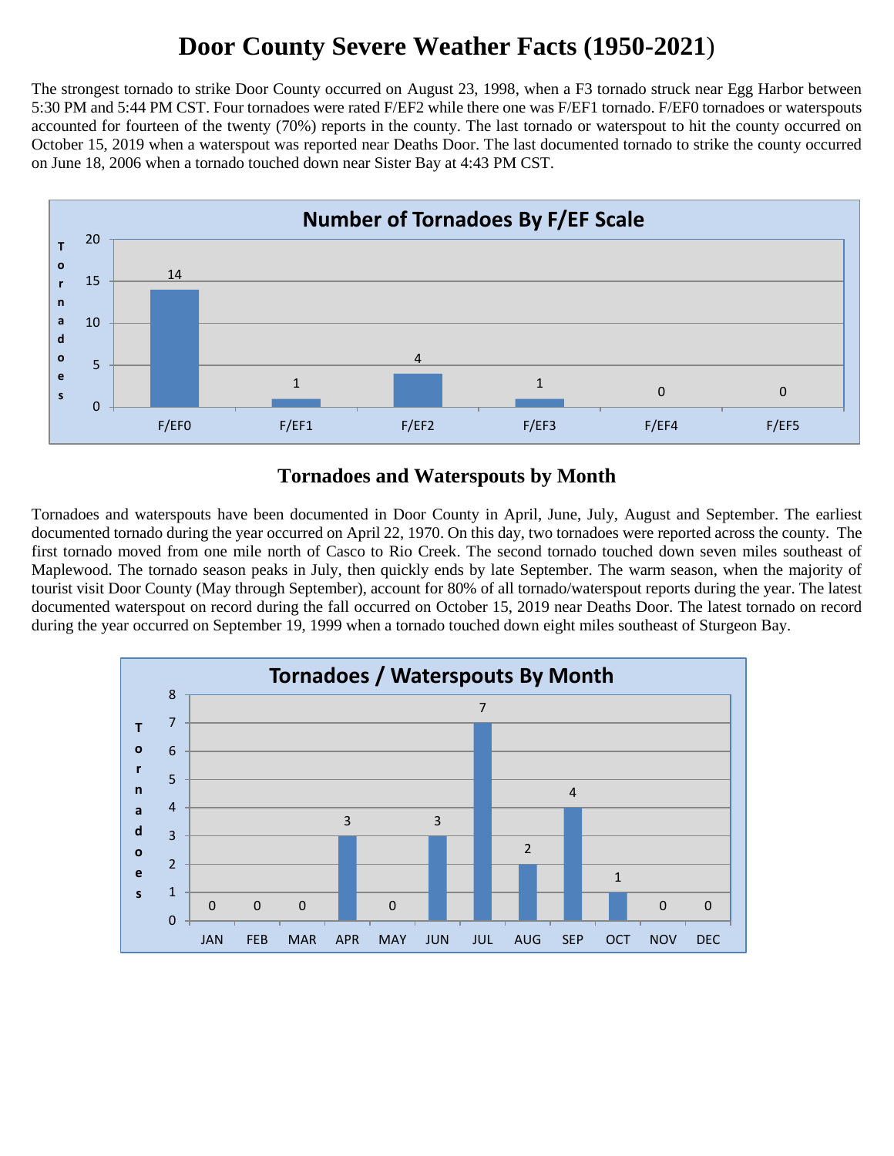The strongest tornado to strike Door County occurred on August 23, 1998, when a F3 tornado struck near Egg Harbor between 5:30 PM and 5:44 PM CST. Four tornadoes were rated F/EF2 while there one was F/EF1 tornado. F/EF0 tornadoes or waterspouts accounted for fourteen of the twenty (70%) reports in the county. The last tornado or waterspout to hit the county occurred on October 15, 2019 when a waterspout was reported near Deaths Door. The last documented tornado to strike the county occurred on June 18, 2006 when a tornado touched down near Sister Bay at 4:43 PM CST.



#### **Tornadoes and Waterspouts by Month**

Tornadoes and waterspouts have been documented in Door County in April, June, July, August and September. The earliest documented tornado during the year occurred on April 22, 1970. On this day, two tornadoes were reported across the county. The first tornado moved from one mile north of Casco to Rio Creek. The second tornado touched down seven miles southeast of Maplewood. The tornado season peaks in July, then quickly ends by late September. The warm season, when the majority of tourist visit Door County (May through September), account for 80% of all tornado/waterspout reports during the year. The latest documented waterspout on record during the fall occurred on October 15, 2019 near Deaths Door. The latest tornado on record during the year occurred on September 19, 1999 when a tornado touched down eight miles southeast of Sturgeon Bay.

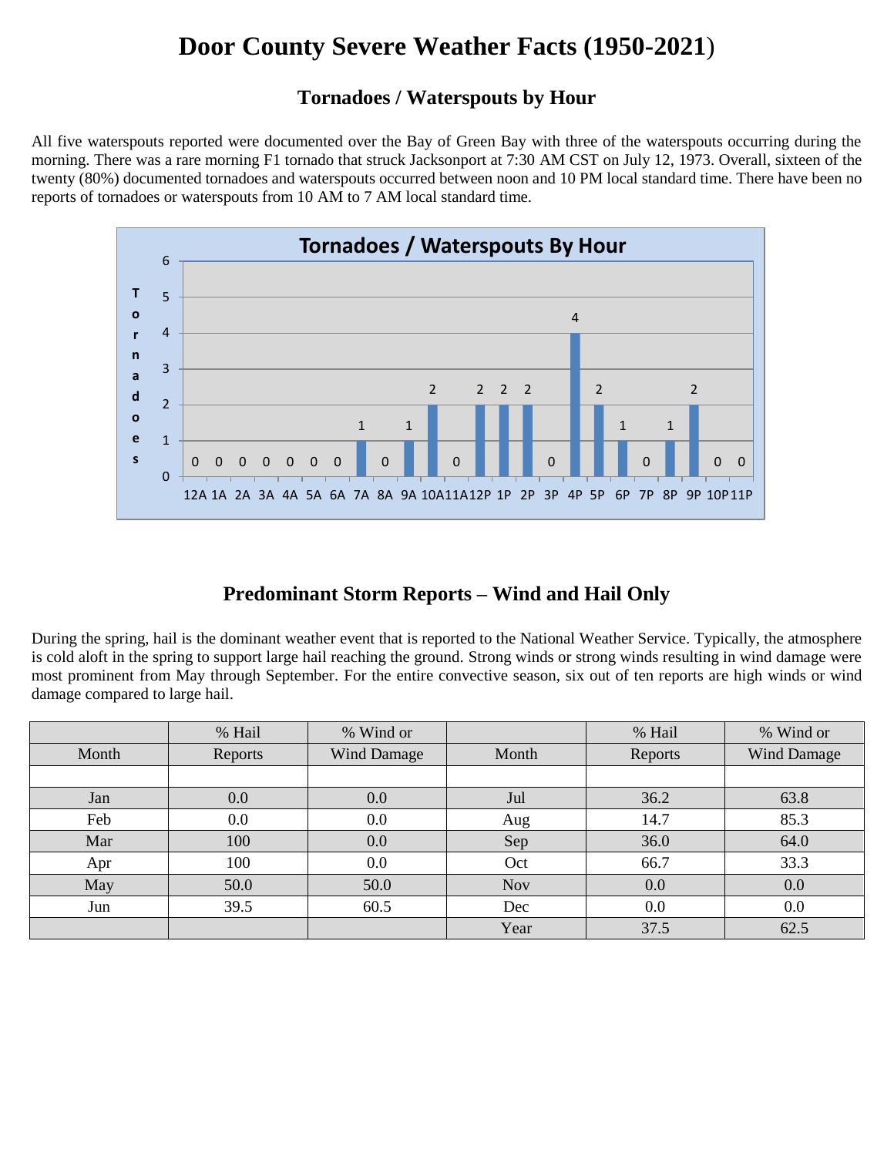#### **Tornadoes / Waterspouts by Hour**

All five waterspouts reported were documented over the Bay of Green Bay with three of the waterspouts occurring during the morning. There was a rare morning F1 tornado that struck Jacksonport at 7:30 AM CST on July 12, 1973. Overall, sixteen of the twenty (80%) documented tornadoes and waterspouts occurred between noon and 10 PM local standard time. There have been no reports of tornadoes or waterspouts from 10 AM to 7 AM local standard time.



### **Predominant Storm Reports – Wind and Hail Only**

During the spring, hail is the dominant weather event that is reported to the National Weather Service. Typically, the atmosphere is cold aloft in the spring to support large hail reaching the ground. Strong winds or strong winds resulting in wind damage were most prominent from May through September. For the entire convective season, six out of ten reports are high winds or wind damage compared to large hail.

|       | % Hail  | % Wind or          |            | % Hail  | % Wind or          |
|-------|---------|--------------------|------------|---------|--------------------|
| Month | Reports | <b>Wind Damage</b> | Month      | Reports | <b>Wind Damage</b> |
|       |         |                    |            |         |                    |
| Jan   | 0.0     | 0.0                | Jul        | 36.2    | 63.8               |
| Feb   | 0.0     | 0.0                | Aug        | 14.7    | 85.3               |
| Mar   | 100     | 0.0                | Sep        | 36.0    | 64.0               |
| Apr   | 100     | 0.0                | Oct        | 66.7    | 33.3               |
| May   | 50.0    | 50.0               | <b>Nov</b> | 0.0     | 0.0                |
| Jun   | 39.5    | 60.5               | Dec        | 0.0     | 0.0                |
|       |         |                    | Year       | 37.5    | 62.5               |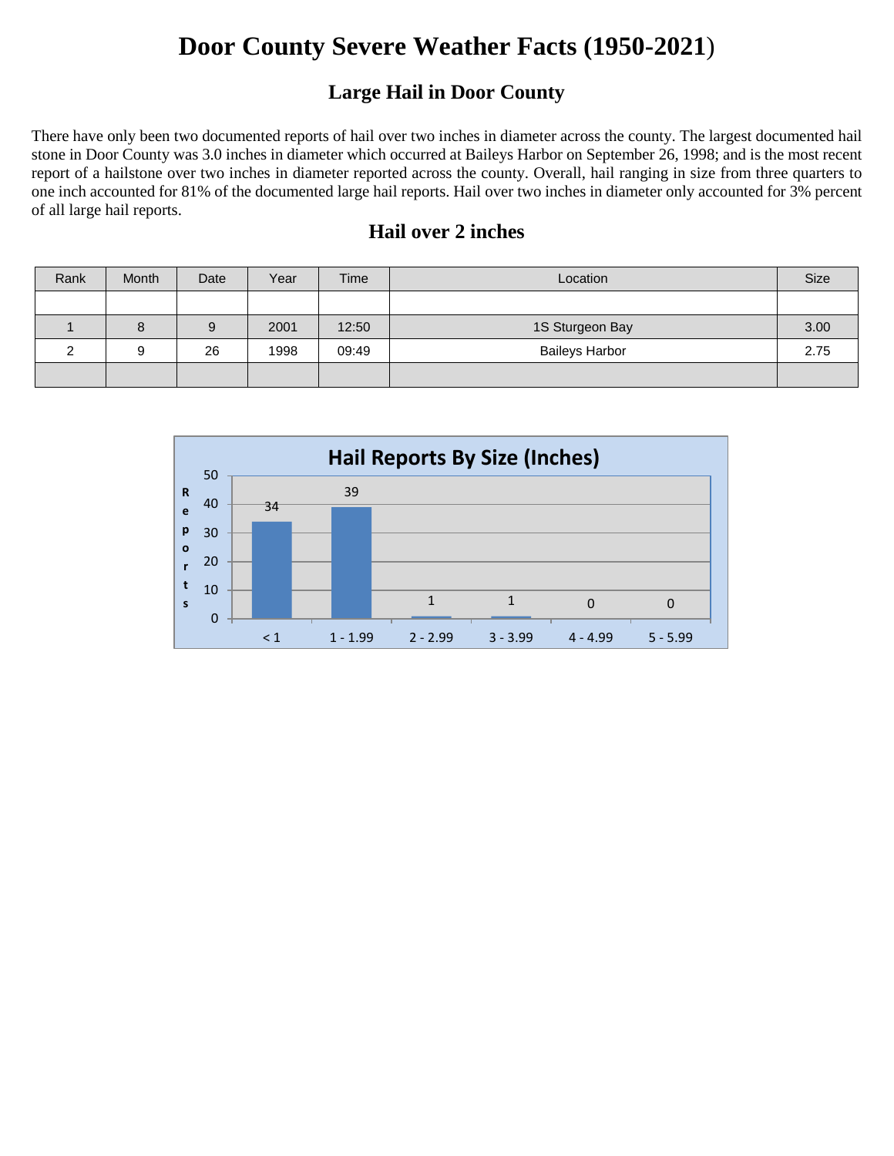### **Large Hail in Door County**

There have only been two documented reports of hail over two inches in diameter across the county. The largest documented hail stone in Door County was 3.0 inches in diameter which occurred at Baileys Harbor on September 26, 1998; and is the most recent report of a hailstone over two inches in diameter reported across the county. Overall, hail ranging in size from three quarters to one inch accounted for 81% of the documented large hail reports. Hail over two inches in diameter only accounted for 3% percent of all large hail reports.

### **Hail over 2 inches**

| Rank | Month | Date | Year | Time  | Location              | Size |
|------|-------|------|------|-------|-----------------------|------|
|      |       |      |      |       |                       |      |
|      |       |      | 2001 | 12:50 | 1S Sturgeon Bay       | 3.00 |
|      | a     | 26   | 1998 | 09:49 | <b>Baileys Harbor</b> | 2.75 |
|      |       |      |      |       |                       |      |

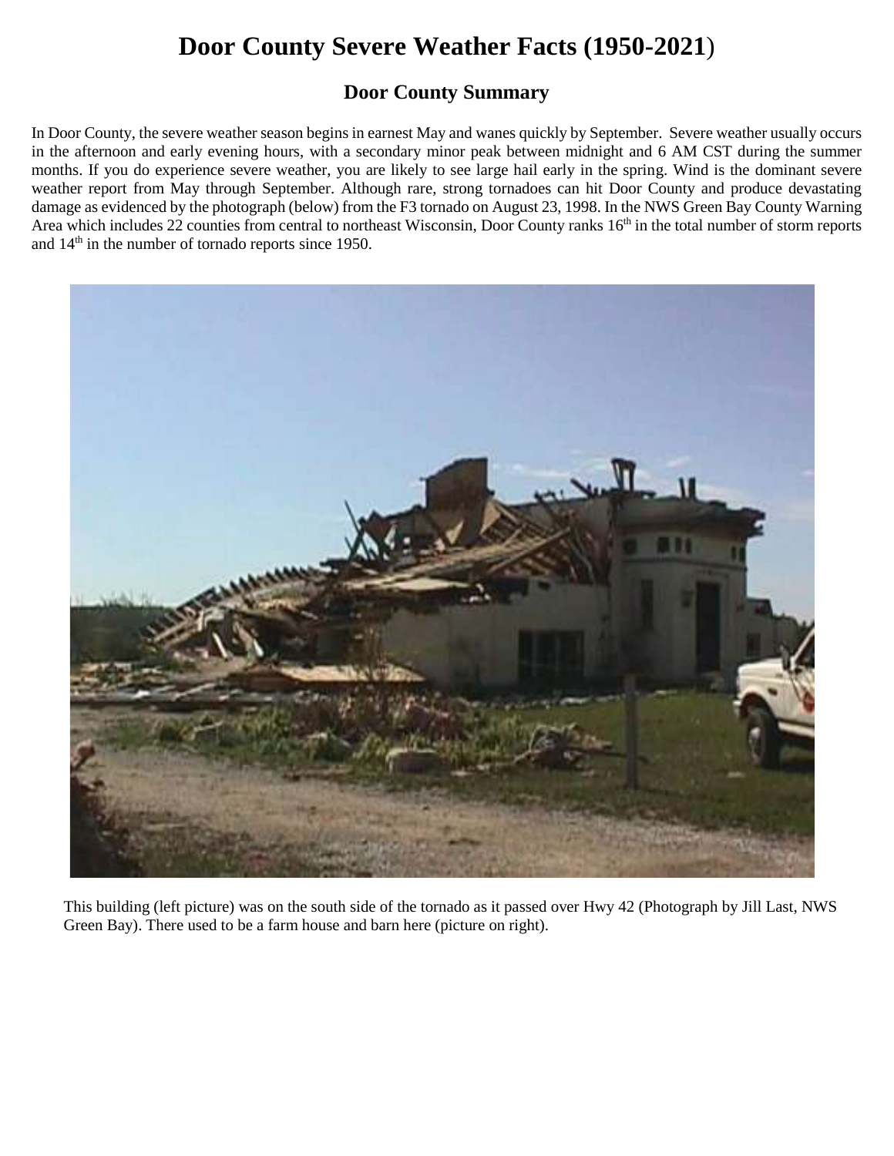#### **Door County Summary**

In Door County, the severe weather season begins in earnest May and wanes quickly by September. Severe weather usually occurs in the afternoon and early evening hours, with a secondary minor peak between midnight and 6 AM CST during the summer months. If you do experience severe weather, you are likely to see large hail early in the spring. Wind is the dominant severe weather report from May through September. Although rare, strong tornadoes can hit Door County and produce devastating damage as evidenced by the photograph (below) from the F3 tornado on August 23, 1998. In the NWS Green Bay County Warning Area which includes 22 counties from central to northeast Wisconsin, Door County ranks 16<sup>th</sup> in the total number of storm reports and 14 th in the number of tornado reports since 1950.



 This building (left picture) was on the south side of the tornado as it passed over Hwy 42 (Photograph by Jill Last, NWS Green Bay). There used to be a farm house and barn here (picture on right).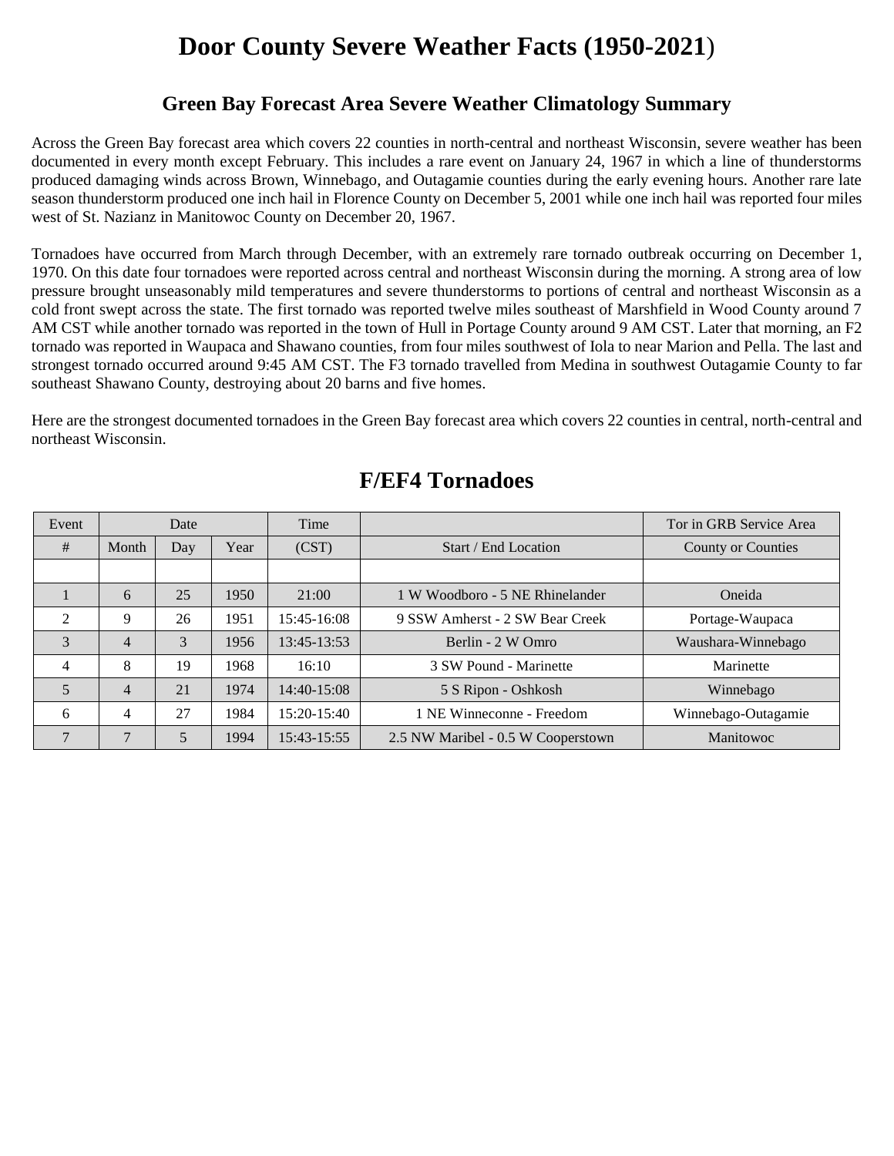#### **Green Bay Forecast Area Severe Weather Climatology Summary**

Across the Green Bay forecast area which covers 22 counties in north-central and northeast Wisconsin, severe weather has been documented in every month except February. This includes a rare event on January 24, 1967 in which a line of thunderstorms produced damaging winds across Brown, Winnebago, and Outagamie counties during the early evening hours. Another rare late season thunderstorm produced one inch hail in Florence County on December 5, 2001 while one inch hail was reported four miles west of St. Nazianz in Manitowoc County on December 20, 1967.

Tornadoes have occurred from March through December, with an extremely rare tornado outbreak occurring on December 1, 1970. On this date four tornadoes were reported across central and northeast Wisconsin during the morning. A strong area of low pressure brought unseasonably mild temperatures and severe thunderstorms to portions of central and northeast Wisconsin as a cold front swept across the state. The first tornado was reported twelve miles southeast of Marshfield in Wood County around 7 AM CST while another tornado was reported in the town of Hull in Portage County around 9 AM CST. Later that morning, an F2 tornado was reported in Waupaca and Shawano counties, from four miles southwest of Iola to near Marion and Pella. The last and strongest tornado occurred around 9:45 AM CST. The F3 tornado travelled from Medina in southwest Outagamie County to far southeast Shawano County, destroying about 20 barns and five homes.

Here are the strongest documented tornadoes in the Green Bay forecast area which covers 22 counties in central, north-central and northeast Wisconsin.

| Event          | Date           |     |      | Time          |                                    | Tor in GRB Service Area   |
|----------------|----------------|-----|------|---------------|------------------------------------|---------------------------|
| #              | Month          | Day | Year | (CST)         | Start / End Location               | <b>County or Counties</b> |
|                |                |     |      |               |                                    |                           |
|                | 6              | 25  | 1950 | 21:00         | 1 W Woodboro - 5 NE Rhinelander    | Oneida                    |
| 2              | 9              | 26  | 1951 | 15:45-16:08   | 9 SSW Amherst - 2 SW Bear Creek    | Portage-Waupaca           |
| 3              | 4              | 3   | 1956 | 13:45-13:53   | Berlin - 2 W Omro                  | Waushara-Winnebago        |
| $\overline{4}$ | 8              | 19  | 1968 | 16:10         | 3 SW Pound - Marinette             | Marinette                 |
| 5              | 4              | 21  | 1974 | $14:40-15:08$ | 5 S Ripon - Oshkosh                | Winnebago                 |
| 6              | 4              | 27  | 1984 | 15:20-15:40   | 1 NE Winneconne - Freedom          | Winnebago-Outagamie       |
| $\mathbf{r}$   | $\overline{7}$ | 5   | 1994 | 15:43-15:55   | 2.5 NW Maribel - 0.5 W Cooperstown | Manitowoc                 |

### **F/EF4 Tornadoes**